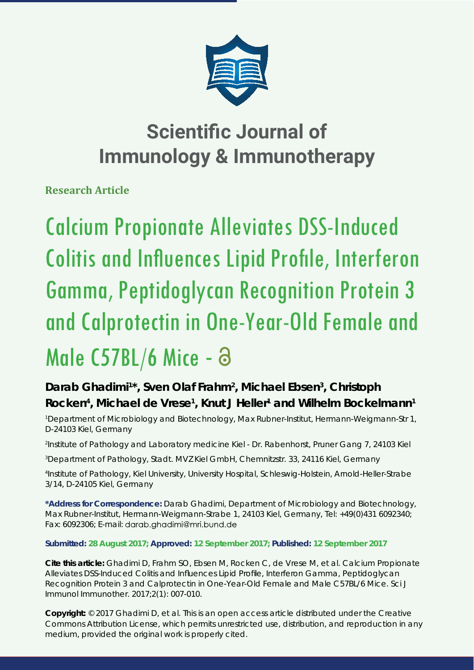

**Research Article**

Calcium Propionate Alleviates DSS-Induced Colitis and Influences Lipid Profile, Interferon Gamma, Peptidoglycan Recognition Protein 3 and Calprotectin in One-Year-Old Female and Male C57BL/6 Mice - a

# Darab Ghadimi<sup>1\*</sup>, Sven Olaf Frahm<sup>2</sup>, Michael Ebsen<sup>3</sup>, Christoph Rocken<sup>4</sup>, Michael de Vrese<sup>1</sup>, Knut J Heller<sup>1</sup> and Wilhelm Bockelmann<sup>1</sup>

*1 Department of Microbiology and Biotechnology, Max Rubner-Institut, Hermann-Weigmann-Str 1, D-24103 Kiel, Germany*

*2 Institute of Pathology and Laboratory medicine Kiel - Dr. Rabenhorst, Pruner Gang 7, 24103 Kiel*

*3 Department of Pathology, Stadt. MVZ Kiel GmbH, Chemnitzstr. 33, 24116 Kiel, Germany*

*4 Institute of Pathology, Kiel University, University Hospital, Schleswig-Holstein, Arnold-Heller-Strabe 3/14, D-24105 Kiel, Germany*

**\*Address for Correspondence:** Darab Ghadimi, Department of Microbiology and Biotechnology, Max Rubner-Institut, Hermann-Weigmann-Strabe 1, 24103 Kiel, Germany, Tel: +49(0)431 6092340; Fax: 6092306; E-mail:

**Submitted: 28 August 2017; Approved: 12 September 2017; Published: 12 September 2017**

**Cite this article:** Ghadimi D, Frahm SO, Ebsen M, Rocken C, de Vrese M, et al. Calcium Propionate Alleviates DSS-Induced Colitis and Influences Lipid Profile, Interferon Gamma, Peptidoglycan Recognition Protein 3 and Calprotectin in One-Year-Old Female and Male C57BL/6 Mice. Sci J Immunol Immunother. 2017;2(1): 007-010.

**Copyright:** © 2017 Ghadimi D, et al. This is an open access article distributed under the Creative Commons Attribution License, which permits unrestricted use, distribution, and reproduction in any medium, provided the original work is properly cited.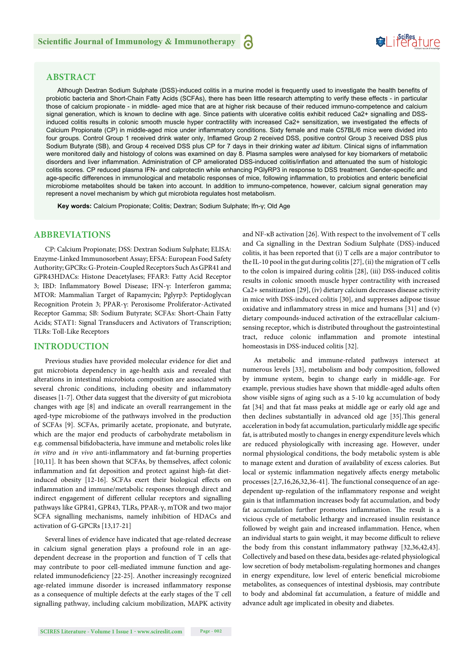

# **ABSTRACT**

Although Dextran Sodium Sulphate (DSS)-induced colitis in a murine model is frequently used to investigate the health benefits of probiotic bacteria and Short-Chain Fatty Acids (SCFAs), there has been little research attempting to verify these effects - in particular those of calcium propionate - in middle- aged mice that are at higher risk because of their reduced immuno-competence and calcium signal generation, which is known to decline with age. Since patients with ulcerative colitis exhibit reduced Ca2+ signalling and DSSinduced colitis results in colonic smooth muscle hyper contractility with increased Ca2+ sensitization, we investigated the effects of Calcium Propionate (CP) in middle-aged mice under inflammatory conditions. Sixty female and male C57BL/6 mice were divided into four groups. Control Group 1 received drink water only, Inflamed Group 2 received DSS, positive control Group 3 received DSS plus Sodium Butyrate (SB), and Group 4 received DSS plus CP for 7 days in their drinking water *ad libitum*. Clinical signs of inflammation were monitored daily and histology of colons was examined on day 8. Plasma samples were analysed for key biomarkers of metabolic disorders and liver inflammation. Administration of CP ameliorated DSS-induced colitis/inflation and attenuated the sum of histologic colitis scores. CP reduced plasma IFN- and calprotectin while enhancing PGIyRP3 in response to DSS treatment. Gender-specific and age-specific differences in immunological and metabolic responses of mice, following inflammation, to probiotics and enteric beneficial microbiome metabolites should be taken into account. In addition to immuno-competence, however, calcium signal generation may represent a novel mechanism by which gut microbiota regulates host metabolism.

a

**Key words:** Calcium Propionate; Colitis; Dextran; Sodium Sulphate; Ifn-γ; Old Age

# **ABBREVIATIONS**

CP: Calcium Propionate; DSS: Dextran Sodium Sulphate; ELISA: Enzyme-Linked Immunosorbent Assay; EFSA: European Food Safety Authority; GPCRs: G-Protein-Coupled Receptors Such As GPR41 and GPR43HDACs: Histone Deacetylases; FFAR3: Fatty Acid Receptor 3; IBD: Inflammatory Bowel Disease; IFN-γ: Interferon gamma; MTOR: Mammalian Target of Rapamycin; Pglyrp3: Peptidoglycan Recognition Protein 3; PPAR-γ: Peroxisome Proliferator-Activated Receptor Gamma; SB: Sodium Butyrate; SCFAs: Short-Chain Fatty Acids; STAT1: Signal Transducers and Activators of Transcription; TLRs: Toll-Like Receptors

# **INTRODUCTION**

Previous studies have provided molecular evidence for diet and gut microbiota dependency in age-health axis and revealed that alterations in intestinal microbiota composition are associated with several chronic conditions, including obesity and inflammatory diseases [1-7]. Other data suggest that the diversity of gut microbiota changes with age [8] and indicate an overall rearrangement in the aged-type microbiome of the pathways involved in the production of SCFAs [9]. SCFAs, primarily acetate, propionate, and butyrate, which are the major end products of carbohydrate metabolism in e.g. commensal bifidobacteria, have immune and metabolic roles like *in vitro* and *in vivo* anti-inflammatory and fat-burning properties [10,11]. It has been shown that SCFAs, by themselves, affect colonic inflammation and fat deposition and protect against high-fat dietinduced obesity [12-16]. SCFAs exert their biological effects on inflammation and immune/metabolic responses through direct and indirect engagement of different cellular receptors and signalling pathways like GPR41, GPR43, TLRs, PPAR-γ, mTOR and two major SCFA signalling mechanisms, namely inhibition of HDACs and activation of G-GPCRs [13,17-21]

Several lines of evidence have indicated that age-related decrease in calcium signal generation plays a profound role in an agedependent decrease in the proportion and function of T cells that may contribute to poor cell-mediated immune function and agerelated immunodeficiency [22-25]. Another increasingly recognized age-related immune disorder is increased inflammatory response as a consequence of multiple defects at the early stages of the T cell signalling pathway, including calcium mobilization, MAPK activity and NF-κB activation [26]. With respect to the involvement of T cells and Ca signalling in the Dextran Sodium Sulphate (DSS)-induced colitis, it has been reported that (i) T cells are a major contributor to the IL-10 pool in the gut during colitis [27], (ii) the migration of T cells to the colon is impaired during colitis [28], (iii) DSS-induced colitis results in colonic smooth muscle hyper contractility with increased Ca2+ sensitization [29], (iv) dietary calcium decreases disease activity in mice with DSS-induced colitis [30], and suppresses adipose tissue oxidative and inflammatory stress in mice and humans [31] and (v) dietary compounds-induced activation of the extracellular calciumsensing receptor, which is distributed throughout the gastrointestinal tract, reduce colonic inflammation and promote intestinal homeostasis in DSS-induced colitis [32].

As metabolic and immune-related pathways intersect at numerous levels [33], metabolism and body composition, followed by immune system, begin to change early in middle-age. For example, previous studies have shown that middle-aged adults often show visible signs of aging such as a 5-10 kg accumulation of body fat [34] and that fat mass peaks at middle age or early old age and then declines substantially in advanced old age [35]. This general acceleration in body fat accumulation, particularly middle age specific fat, is attributed mostly to changes in energy expenditure levels which are reduced physiologically with increasing age. However, under normal physiological conditions, the body metabolic system is able to manage extent and duration of availability of excess calories. But local or systemic inflammation negatively affects energy metabolic processes [2,7,16,26,32,36-41]. The functional consequence of an agedependent up-regulation of the inflammatory response and weight gain is that inflammation increases body fat accumulation, and body fat accumulation further promotes inflammation. The result is a vicious cycle of metabolic lethargy and increased insulin resistance followed by weight gain and increased inflammation. Hence, when an individual starts to gain weight, it may become difficult to relieve the body from this constant inflammatory pathway [32,36,42,43]. Collectively and based on these data, besides age-related physiological low secretion of body metabolism-regulating hormones and changes in energy expenditure, low level of enteric beneficial microbiome metabolites, as consequences of intestinal dysbiosis, may contribute to body and abdominal fat accumulation, a feature of middle and advance adult age implicated in obesity and diabetes.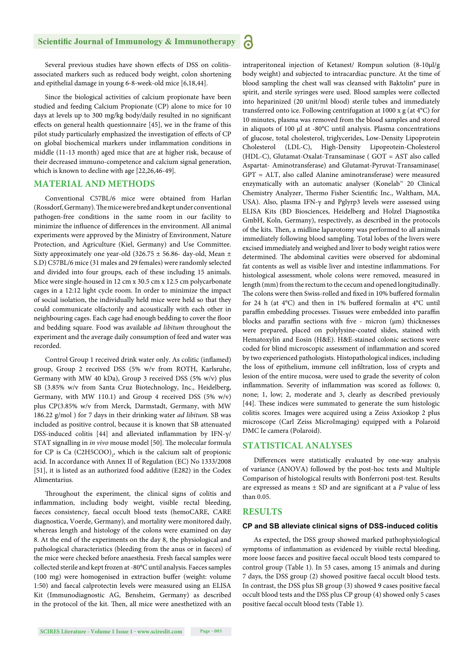Several previous studies have shown effects of DSS on colitisassociated markers such as reduced body weight, colon shortening and epithelial damage in young 6-8-week-old mice [6,18,44].

Since the biological activities of calcium propionate have been studied and feeding Calcium Propionate (CP) alone to mice for 10 days at levels up to 300 mg/kg body/daily resulted in no significant effects on general health questionnaire  $[45]$ , we in the frame of this pilot study particularly emphasized the investigation of effects of CP on global biochemical markers under inflammation conditions in middle (11-13 month) aged mice that are at higher risk, because of their decreased immuno-competence and calcium signal generation, which is known to decline with age [22,26,46-49].

# **MATERIAL AND METHODS**

Conventional C57BL/6 mice were obtained from Harlan (Rossdorf, Germany). The mice were bred and kept under conventional pathogen-free conditions in the same room in our facility to minimize the influence of differences in the environment. All animal experiments were approved by the Ministry of Environment, Nature Protection, and Agriculture (Kiel, Germany) and Use Committee. Sixty approximately one year-old (326.75 ± 56.86- day-old, Mean ± S.D) C57BL/6 mice (31 males and 29 females) were randomly selected and divided into four groups, each of these including 15 animals. Mice were single-housed in 12 cm x 30.5 cm x 12.5 cm polycarbonate cages in a 12:12 light cycle room. In order to minimize the impact of social isolation, the individually held mice were held so that they could communicate olfactorily and acoustically with each other in neighbouring cages. Each cage had enough bedding to cover the floor and bedding square. Food was available *ad libitum* throughout the experiment and the average daily consumption of feed and water was recorded.

Control Group 1 received drink water only. As colitic (inflamed) group, Group 2 received DSS (5% w/v from ROTH, Karlsruhe, Germany with MW 40 kDa), Group 3 received DSS (5% w/v) plus SB (3.85% w/v from Santa Cruz Biotechnology, Inc., Heidelberg, Germany, with MW 110.1) and Group 4 received DSS (5% w/v) plus CP(3.85% w/v from Merck*,* Darmstadt, Germany, with MW 186.22 g/mol ) for 7 days in their drinking water *ad libitum.* SB was included as positive control, because it is known that SB attenuated DSS-induced colitis [44] and alleviated inflammation by IFN-γ/ STAT signalling in *in vivo* mouse model [50]. The molecular formula for CP is Ca  $(C2H5COO)_{2}$ , which is the calcium salt of propionic acid. In accordance with Annex II of Regulation (EC) No 1333/2008 [51], it is listed as an authorized food additive (E282) in the Codex Alimentarius.

Throughout the experiment, the clinical signs of colitis and inflammation, including body weight, visible rectal bleeding, faeces consistency, faecal occult blood tests (hemoCARE, CARE diagnostica, Voerde, Germany), and mortality were monitored daily, whereas length and histology of the colons were examined on day 8. At the end of the experiments on the day 8, the physiological and pathological characteristics (bleeding from the anus or in faeces) of the mice were checked before anaesthesia. Fresh faecal samples were collected sterile and kept frozen at -80°C until analysis. Faeces samples  $(100 \text{ mg})$  were homogenised in extraction buffer (weight: volume 1:50) and faecal calprotectin levels were measured using an ELISA Kit (Immunodiagnostic AG, Bensheim, Germany) as described in the protocol of the kit. Then, all mice were anesthetized with an intraperitoneal injection of Ketanest/ Rompun solution (8-10μl/g body weight) and subjected to intracardiac puncture. At the time of blood sampling the chest wall was cleansed with Baktolin® pure in spirit, and sterile syringes were used. Blood samples were collected into heparinized (20 unit/ml blood) sterile tubes and immediately transferred onto ice. Following centrifugation at 1000 x g (at 4°C) for 10 minutes, plasma was removed from the blood samples and stored in aliquots of 100 μl at -80°C until analysis. Plasma concentrations of glucose, total cholesterol, triglycerides, Low-Density Lipoprotein Cholesterol (LDL-C), High-Density Lipoprotein-Cholesterol (HDL-C), Glutamat-Oxalat-Transaminase ( GOT = AST also called Aspartat- Aminotransferase) and Glutamat-Pyruvat-Transaminase( GPT = ALT, also called Alanine aminotransferase) were measured enzymatically with an automatic analyser (Konelab™ 20 Clinical Chemistry Analyzer, Thermo Fisher Scientific Inc., Waltham, MA, USA). Also, plasma IFN-γ and Pglyrp3 levels were assessed using ELISA Kits (BD Biosciences, Heidelberg and Holzel Diagnostika GmbH, Koln, Germany), respectively, as described in the protocols of the kits. Then, a midline laparotomy was performed to all animals immediately following blood sampling. Total lobes of the livers were excised immediately and weighed and liver to body weight ratios were determined. The abdominal cavities were observed for abdominal fat contents as well as visible liver and intestine inflammations. For histological assessment, whole colons were removed, measured in length (mm) from the rectum to the cecum and opened longitudinally. The colons were then Swiss-rolled and fixed in 10% buffered formalin for 24 h (at  $4^{\circ}$ C) and then in 1% buffered formalin at  $4^{\circ}$ C until paraffin embedding processes. Tissues were embedded into paraffin blocks and paraffin sections with five - micron  $(\mu m)$  thicknesses were prepared, placed on polylysine-coated slides, stained with Hematoxylin and Eosin (H&E). H&E-stained colonic sections were coded for blind microscopic assessment of inflammation and scored by two experienced pathologists. Histopathological indices, including the loss of epithelium, immune cell infiltration, loss of crypts and lesion of the entire mucosa, were used to grade the severity of colon inflammation. Severity of inflammation was scored as follows: 0, none; 1, low; 2, moderate and 3, clearly as described previously [44]. These indices were summated to generate the sum histologic colitis scores. Images were acquired using a Zeiss Axioskop 2 plus

#### **STATISTICAL ANALYSES**

DMC Ιe camera (Polaroid).

Differences were statistically evaluated by one-way analysis of variance (ANOVA) followed by the post-hoc tests and Multiple Comparison of histological results with Bonferroni post-test. Results are expressed as means  $\pm$  SD and are significant at a *P* value of less than 0.05.

microscope (Carl Zeiss MicroImaging) equipped with a Polaroid

## **RESULTS**

#### **CP and SB alleviate clinical signs of DSS-induced colitis**

As expected, the DSS group showed marked pathophysiological symptoms of inflammation as evidenced by visible rectal bleeding, more loose faeces and positive faecal occult blood tests compared to control group (Table 1). In 53 cases, among 15 animals and during 7 days, the DSS group (2) showed positive faecal occult blood tests. In contrast, the DSS plus SB group (3) showed 9 cases positive faecal occult blood tests and the DSS plus CP group (4) showed only 5 cases positive faecal occult blood tests (Table 1).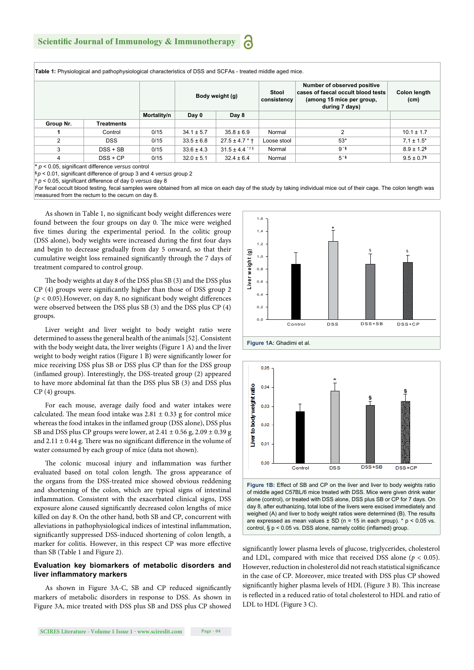**Table 1:** Physiological and pathophysiological characteristics of DSS and SCFAs - treated middle aged mice.

|           |            |             | Body weight (g) |                              | Stool<br>consistency | Number of observed positive<br>cases of faecal occult blood tests<br>(among 15 mice per group,<br>during 7 days) | Colon length<br>(cm)       |
|-----------|------------|-------------|-----------------|------------------------------|----------------------|------------------------------------------------------------------------------------------------------------------|----------------------------|
|           |            | Mortality/n | Day 0           | Day 8                        |                      |                                                                                                                  |                            |
| Group Nr. | Treatments |             |                 |                              |                      |                                                                                                                  |                            |
|           | Control    | 0/15        | $34.1 \pm 5.7$  | $35.8 \pm 6.9$               | Normal               | っ                                                                                                                | $10.1 \pm 1.7$             |
| 2         | <b>DSS</b> | 0/15        | $33.5 \pm 6.8$  | $27.5 \pm 4.7$ * $\dagger$   | Loose stool          | $53*$                                                                                                            | $7.1 \pm 1.5^*$            |
| 3         | $DSS + SB$ | 0/15        | $33.6 \pm 4.3$  | $31.5 \pm 4.4$ <sup>**</sup> | Normal               | 9.8                                                                                                              | $8.9 \pm 1.2$ <sup>§</sup> |
| 4         | $DSS + CP$ | 0/15        | $32.0 \pm 5.1$  | $32.4 \pm 6.4$               | Normal               | $5*$                                                                                                             | $9.5 \pm 0.7$              |

**\*** *p* < 0.05, signifi cant difference *versus* control

**p** < 0.01, significant difference of group 3 and 4 *versus* group 2

**†** *p* < 0.05, signifi cant difference of day 0 *versus* day 8

For fecal occult blood testing, fecal samples were obtained from all mice on each day of the study by taking individual mice out of their cage. The colon length was measured from the rectum to the cecum on day 8.

As shown in Table 1, no significant body weight differences were found between the four groups on day 0. The mice were weighed five times during the experimental period. In the colitic group (DSS alone), body weights were increased during the first four days and begin to decrease gradually from day 5 onward, so that their cumulative weight loss remained significantly through the 7 days of treatment compared to control group.

The body weights at day 8 of the DSS plus SB (3) and the DSS plus  $CP$  (4) groups were significantly higher than those of DSS group 2  $(p < 0.05)$ . However, on day 8, no significant body weight differences were observed between the DSS plus SB (3) and the DSS plus CP (4) groups.

Liver weight and liver weight to body weight ratio were determined to assess the general health of the animals [52]. Consistent with the body weight data, the liver weights (Figure 1 A) and the liver weight to body weight ratios (Figure 1 B) were significantly lower for mice receiving DSS plus SB or DSS plus CP than for the DSS group (inflamed group). Interestingly, the DSS-treated group (2) appeared to have more abdominal fat than the DSS plus SB (3) and DSS plus CP (4) groups.

For each mouse, average daily food and water intakes were calculated. The mean food intake was  $2.81 \pm 0.33$  g for control mice whereas the food intakes in the inflamed group (DSS alone), DSS plus SB and DSS plus CP groups were lower, at  $2.41 \pm 0.56$  g,  $2.09 \pm 0.39$  g and  $2.11 \pm 0.44$  g. There was no significant difference in the volume of water consumed by each group of mice (data not shown).

The colonic mucosal injury and inflammation was further evaluated based on total colon length. The gross appearance of the organs from the DSS-treated mice showed obvious reddening and shortening of the colon, which are typical signs of intestinal inflammation. Consistent with the exacerbated clinical signs, DSS exposure alone caused significantly decreased colon lengths of mice killed on day 8. On the other hand, both SB and CP, concurrent with alleviations in pathophysiological indices of intestinal inflammation, significantly suppressed DSS-induced shortening of colon length, a marker for colitis. However, in this respect CP was more effective than SB (Table 1 and Figure 2).

## **Evaluation key biomarkers of metabolic disorders and liver inflammatory markers**

As shown in Figure 3A-C, SB and CP reduced significantly markers of metabolic disorders in response to DSS. As shown in Figure 3A, mice treated with DSS plus SB and DSS plus CP showed





significantly lower plasma levels of glucose, triglycerides, cholesterol and LDL, compared with mice that received DSS alone  $(p < 0.05)$ . However, reduction in cholesterol did not reach statistical significance in the case of CP. Moreover, mice treated with DSS plus CP showed significantly higher plasma levels of HDL (Figure 3 B). This increase is reflected in a reduced ratio of total cholesterol to HDL and ratio of LDL to HDL (Figure 3 C).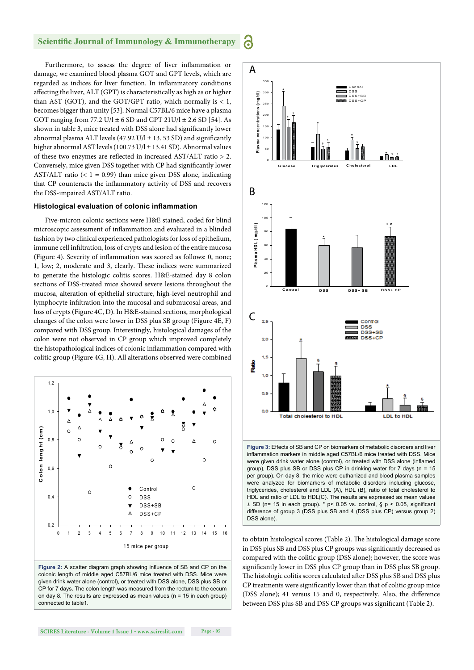6

Furthermore, to assess the degree of liver inflammation or damage, we examined blood plasma GOT and GPT levels, which are regarded as indices for liver function. In inflammatory conditions affecting the liver, ALT (GPT) is characteristically as high as or higher than AST (GOT), and the GOT/GPT ratio, which normally is  $< 1$ , becomes bigger than unity [53]. Normal C57BL/6 mice have a plasma GOT ranging from 77.2 U/l  $\pm$  6 SD and GPT 21U/l  $\pm$  2.6 SD [54]. As shown in table 3, mice treated with DSS alone had significantly lower abnormal plasma ALT levels (47.92 U/l  $\pm$  13.53 SD) and significantly higher abnormal AST levels (100.73 U/l ± 13.41 SD). Abnormal values of these two enzymes are reflected in increased AST/ALT ratio  $> 2$ . Conversely, mice given DSS together with CP had significantly lower AST/ALT ratio (< 1 = 0.99) than mice given DSS alone, indicating that CP counteracts the inflammatory activity of DSS and recovers the DSS-impaired AST/ALT ratio.

#### **Histological evaluation of colonic inflammation**

Five-micron colonic sections were H&E stained, coded for blind microscopic assessment of inflammation and evaluated in a blinded fashion by two clinical experienced pathologists for loss of epithelium, immune cell infiltration, loss of crypts and lesion of the entire mucosa (Figure 4). Severity of inflammation was scored as follows: 0, none; 1, low; 2, moderate and 3, clearly. These indices were summarized to generate the histologic colitis scores. H&E-stained day 8 colon sections of DSS-treated mice showed severe lesions throughout the mucosa, alteration of epithelial structure, high-level neutrophil and lymphocyte infiltration into the mucosal and submucosal areas, and loss of crypts (Figure 4C, D). In H&E-stained sections, morphological changes of the colon were lower in DSS plus SB group (Figure 4E, F) compared with DSS group. Interestingly, histological damages of the colon were not observed in CP group which improved completely the histopathological indices of colonic inflammation compared with colitic group (Figure 4G, H). All alterations observed were combined



Figure 2: A scatter diagram graph showing influence of SB and CP on the colonic length of middle aged C57BL/6 mice treated with DSS. Mice were given drink water alone (control), or treated with DSS alone, DSS plus SB or CP for 7 days. The colon length was measured from the rectum to the cecum on day 8. The results are expressed as mean values ( $n = 15$  in each group) connected to table1.



group), DSS plus SB or DSS plus CP in drinking water for 7 days (n = 15 per group). On day 8, the mice were euthanized and blood plasma samples were analyzed for biomarkers of metabolic disorders including glucose, triglycerides, cholesterol and LDL (A), HDL (B), ratio of total cholesterol to HDL and ratio of LDL to HDL(C). The results are expressed as mean values  $\pm$  SD (n= 15 in each group). \* p< 0.05 vs. control, § p < 0.05, significant difference of group 3 (DSS plus SB and 4 (DSS plus CP) versus group 2( DSS alone).

to obtain histological scores (Table 2). The histological damage score in DSS plus SB and DSS plus CP groups was significantly decreased as compared with the colitic group (DSS alone); however, the score was significantly lower in DSS plus CP group than in DSS plus SB group. The histologic colitis scores calculated after DSS plus SB and DSS plus CP treatments were significantly lower than that of colitic group mice (DSS alone); 41 versus 15 and 0, respectively. Also, the difference between DSS plus SB and DSS CP groups was significant (Table 2).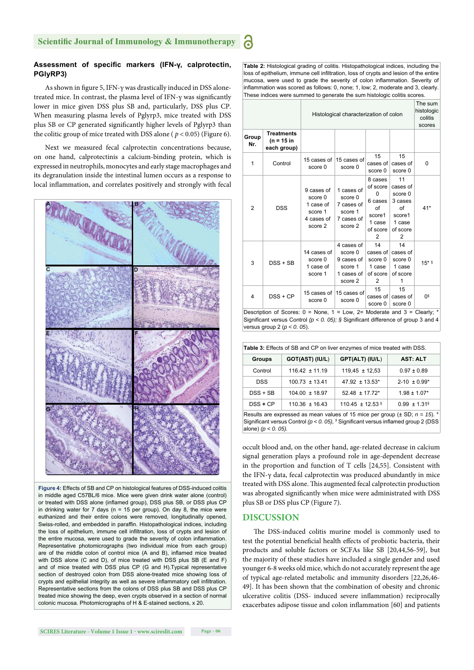# Assessment of specific markers (IFN-γ, calprotectin, **PGlyRP3)**

As shown in figure 5, IFN- $\gamma$  was drastically induced in DSS alonetreated mice. In contrast, the plasma level of IFN- $\gamma$  was significantly lower in mice given DSS plus SB and, particularly, DSS plus CP. When measuring plasma levels of Pglyrp3, mice treated with DSS plus SB or CP generated significantly higher levels of Pglyrp3 than the colitic group of mice treated with DSS alone ( $p < 0.05$ ) (Figure 6).

Next we measured fecal calprotectin concentrations because, on one hand, calprotectinis a calcium-binding protein, which is expressed in neutrophils, monocytes and early stage macrophages and its degranulation inside the intestinal lumen occurs as a response to local inflammation, and correlates positively and strongly with fecal



**Figure 4:** Effects of SB and CP on histological features of DSS-induced colitis in middle aged C57BL/6 mice. Mice were given drink water alone (control) or treated with DSS alone (inflamed group), DSS plus SB, or DSS plus CP in drinking water for  $7$  days (n = 15 per group). On day 8, the mice were euthanized and their entire colons were removed, longitudinally opened, Swiss-rolled, and embedded in paraffin. Histopathological indices, including the loss of epithelium, immune cell infiltration, loss of crypts and lesion of the entire mucosa, were used to grade the severity of colon inflammation. Representative photomicrographs (two individual mice from each group) are of the middle colon of control mice (A and B), inflamed mice treated with DSS alone (C and D), of mice treated with DSS plus SB (E and F) and of mice treated with DSS plus CP (G and H).Typical representative section of destroyed colon from DSS alone-treated mice showing loss of crypts and epithelial integrity as well as severe inflammatory cell infiltration. Representative sections from the colons of DSS plus SB and DSS plus CP treated mice showing the deep, even crypts observed in a section of normal colonic mucosa. Photomicrographs of H & E-stained sections, x 20.

**Table 2:** Histological grading of colitis. Histopathological indices, including the loss of epithelium, immune cell infiltration, loss of crypts and lesion of the entire mucosa, were used to grade the severity of colon inflammation. Severity of  $\frac{1}{2}$  inflammation was scored as follows: 0, none; 1, low; 2, moderate and 3, clearly These indices were summed to generate the sum histologic colitis scores.

a

|                                                                                                                                                                                                               |                                                  | Histological characterization of colon                                 | The sum<br>histologic<br>colitis<br>scores                              |                                                                                |                                                                                 |          |
|---------------------------------------------------------------------------------------------------------------------------------------------------------------------------------------------------------------|--------------------------------------------------|------------------------------------------------------------------------|-------------------------------------------------------------------------|--------------------------------------------------------------------------------|---------------------------------------------------------------------------------|----------|
| Group<br>Nr.                                                                                                                                                                                                  | <b>Treatments</b><br>$(n = 15 in$<br>each group) |                                                                        |                                                                         |                                                                                |                                                                                 |          |
| 1                                                                                                                                                                                                             | Control                                          | 15 cases of<br>score 0                                                 | 15 cases of<br>score 0                                                  | 15<br>cases of<br>score 0                                                      | 15<br>cases of<br>score 0                                                       | 0        |
| 2                                                                                                                                                                                                             | <b>DSS</b>                                       | 9 cases of<br>score 0<br>1 case of<br>score 1<br>4 cases of<br>score 2 | 1 cases of<br>score 0<br>7 cases of<br>score 1<br>7 cases of<br>score 2 | 8 cases<br>of score<br>0<br>6 cases<br>of<br>score1<br>1 case<br>of score<br>2 | 11<br>cases of<br>score 0<br>3 cases<br>of<br>score1<br>1 case<br>of score<br>2 | $41*$    |
| 3                                                                                                                                                                                                             | $DSS + SB$                                       | 14 cases of<br>score 0<br>1 case of<br>score 1                         | 4 cases of<br>score 0<br>9 cases of<br>score 1<br>1 cases of<br>score 2 | 14<br>cases of<br>score 0<br>1 case<br>of score<br>2                           | 14<br>cases of<br>score 0<br>1 case<br>of score<br>1                            | $15*$ \$ |
| 4                                                                                                                                                                                                             | $DSS + CP$                                       | 15 cases of<br>score 0                                                 | 15 cases of<br>score 0                                                  | 15<br>cases of<br>score 0                                                      | 15<br>cases of<br>score 0                                                       | Os       |
| Description of Scores: $0 =$ None, $1 =$ Low, $2 =$ Moderate and $3 =$ Clearly; *<br>Significant versus Control ( $p < 0$ . 05); § Significant difference of group 3 and 4<br>versus group 2 ( $p < 0$ . 05). |                                                  |                                                                        |                                                                         |                                                                                |                                                                                 |          |

| Table 3: Effects of SB and CP on liver enzymes of mice treated with DSS.            |                    |                      |                              |  |  |  |  |
|-------------------------------------------------------------------------------------|--------------------|----------------------|------------------------------|--|--|--|--|
| <b>Groups</b>                                                                       | GOT(AST) (IU/L)    | GPT(ALT) (IU/L)      | <b>AST: ALT</b>              |  |  |  |  |
| Control                                                                             | $116.42 \pm 11.19$ | $119.45 \pm 12.53$   | $0.97 \pm 0.89$              |  |  |  |  |
| DSS                                                                                 | $100.73 \pm 13.41$ | $47.92 \pm 13.53^*$  | $2 - 10 \pm 0.99^*$          |  |  |  |  |
| $DSS + SB$                                                                          | $104.00 \pm 18.97$ | $52.48 \pm 17.72^*$  | $1.98 \pm 1.07*$             |  |  |  |  |
| $DSS + CP$                                                                          | $110.36 \pm 16.43$ | 110.45 $\pm$ 12.53 § | $0.99 \pm 1.31$ <sup>§</sup> |  |  |  |  |
| Results are expressed as mean values of 15 mice per group ( $\pm$ SD; $n = 15$ ). * |                    |                      |                              |  |  |  |  |

Significant versus Control  $(p < 0.05)$ , § Significant versus inflamed group 2 (DSS) alone) *(p < 0. 05).*

occult blood and, on the other hand, age-related decrease in calcium signal generation plays a profound role in age-dependent decrease in the proportion and function of T cells [24,55]. Consistent with the IFN-γ data, fecal calprotectin was produced abundantly in mice treated with DSS alone. This augmented fecal calprotectin production was abrogated significantly when mice were administrated with DSS plus SB or DSS plus CP (Figure 7).

# **DISCUSSION**

The DSS-induced colitis murine model is commonly used to test the potential beneficial health effects of probiotic bacteria, their products and soluble factors or SCFAs like SB [20,44,56-59], but the majority of these studies have included a single gender and used younger 6-8 weeks old mice, which do not accurately represent the age of typical age-related metabolic and immunity disorders [22,26,46- 49]. It has been shown that the combination of obesity and chronic ulcerative colitis (DSS- induced severe inflammation) reciprocally exacerbates adipose tissue and colon inflammation [60] and patients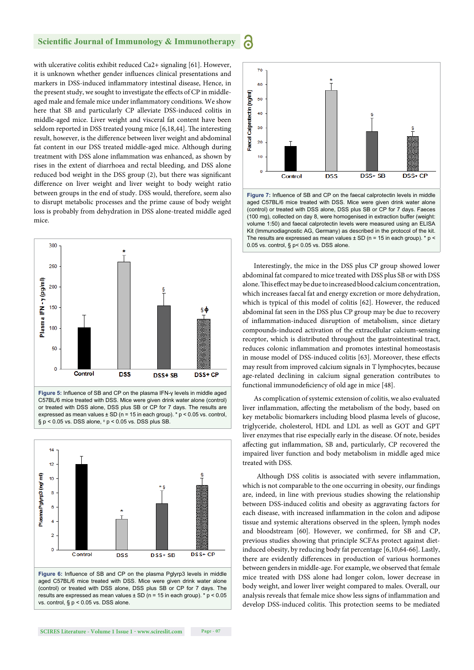6

with ulcerative colitis exhibit reduced Ca2+ signaling [61]. However, it is unknown whether gender influences clinical presentations and markers in DSS-induced inflammatory intestinal disease, Hence, in the present study, we sought to investigate the effects of CP in middleaged male and female mice under inflammatory conditions. We show here that SB and particularly CP alleviate DSS-induced colitis in middle-aged mice. Liver weight and visceral fat content have been seldom reported in DSS treated young mice [6,18,44]. The interesting result, however, is the difference between liver weight and abdominal fat content in our DSS treated middle-aged mice. Although during treatment with DSS alone inflammation was enhanced, as shown by rises in the extent of diarrhoea and rectal bleeding, and DSS alone reduced bod weight in the DSS group (2), but there was significant difference on liver weight and liver weight to body weight ratio between groups in the end of study. DSS would, therefore, seem also to disrupt metabolic processes and the prime cause of body weight loss is probably from dehydration in DSS alone-treated middle aged mice.



or treated with DSS alone, DSS plus SB or CP for 7 days. The results are expressed as mean values  $\pm$  SD (n = 15 in each group). \* p < 0.05 vs. control,  $\S p$  < 0.05 vs. DSS alone,  $\phi p$  < 0.05 vs. DSS plus SB.





Figure 7: Influence of SB and CP on the faecal calprotectin levels in middle aged C57BL/6 mice treated with DSS. Mice were given drink water alone (control) or treated with DSS alone, DSS plus SB or CP for 7 days. Faeces (100 mg), collected on day 8, were homogenised in extraction buffer (weight: volume 1:50) and faecal calprotectin levels were measured using an ELISA Kit (Immunodiagnostic AG, Germany) as described in the protocol of the kit. The results are expressed as mean values  $\pm$  SD (n = 15 in each group).  $*$  p < 0.05 vs. control, § p< 0.05 vs. DSS alone.

Interestingly, the mice in the DSS plus CP group showed lower abdominal fat compared to mice treated with DSS plus SB or with DSS alone. This effect may be due to increased blood calcium concentration, which increases faecal fat and energy excretion or more dehydration, which is typical of this model of colitis [62]. However, the reduced abdominal fat seen in the DSS plus CP group may be due to recovery of inflammation-induced disruption of metabolism, since dietary compounds-induced activation of the extracellular calcium-sensing receptor, which is distributed throughout the gastrointestinal tract, reduces colonic inflammation and promotes intestinal homeostasis in mouse model of DSS-induced colitis [63]. Moreover, these effects may result from improved calcium signals in T lymphocytes, because age-related declining in calcium signal generation contributes to functional immunodeficiency of old age in mice [48].

As complication of systemic extension of colitis, we also evaluated liver inflammation, affecting the metabolism of the body, based on key metabolic biomarkers including blood plasma levels of glucose, triglyceride, cholesterol, HDL and LDL as well as GOT and GPT liver enzymes that rise especially early in the disease. Of note, besides affecting gut inflammation, SB and, particularly, CP recovered the impaired liver function and body metabolism in middle aged mice treated with DSS.

Although DSS colitis is associated with severe inflammation, which is not comparable to the one occurring in obesity, our findings are, indeed, in line with previous studies showing the relationship between DSS-induced colitis and obesity as aggravating factors for each disease, with increased inflammation in the colon and adipose tissue and systemic alterations observed in the spleen, lymph nodes and bloodstream [60]. However, we confirmed, for SB and CP, previous studies showing that principle SCFAs protect against dietinduced obesity, by reducing body fat percentage [6,10,64-66]. Lastly, there are evidently differences in production of various hormones between genders in middle-age. For example, we observed that female mice treated with DSS alone had longer colon, lower decrease in body weight, and lower liver weight compared to males. Overall, our analysis reveals that female mice show less signs of inflammation and develop DSS-induced colitis. This protection seems to be mediated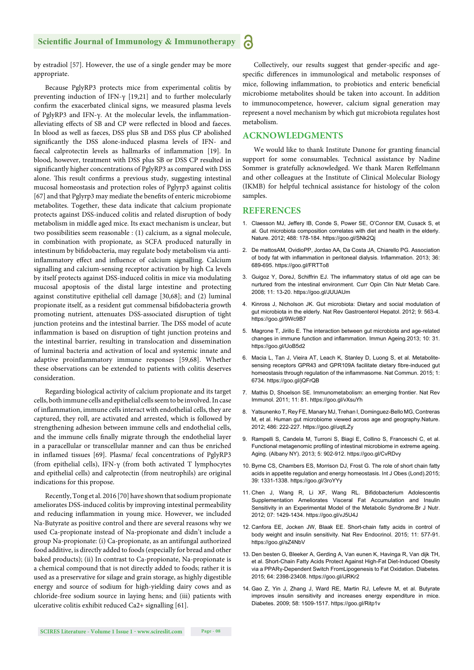by estradiol [57]. However, the use of a single gender may be more appropriate.

Because PglyRP3 protects mice from experimental colitis by preventing induction of IFN-γ [19,21] and to further molecularly confirm the exacerbated clinical signs, we measured plasma levels of PglyRP3 and IFN-γ. At the molecular levels, the inflammationalleviating effects of SB and CP were reflected in blood and faeces. In blood as well as faeces, DSS plus SB and DSS plus CP abolished significantly the DSS alone-induced plasma levels of IFN- and faecal calprotectin levels as hallmarks of inflammation [19]. In blood, however, treatment with DSS plus SB or DSS CP resulted in significantly higher concentrations of PglyRP3 as compared with DSS alone. This result confirms a previous study, suggesting intestinal mucosal homeostasis and protection roles of Pglyrp3 against colitis [67] and that Pglyrp3 may mediate the benefits of enteric microbiome metabolites. Together, these data indicate that calcium propionate protects against DSS-induced colitis and related disruption of body metabolism in middle aged mice. Its exact mechanism is unclear, but two possibilities seem reasonable : (1) calcium, as a signal molecule, in combination with propionate, as SCFA produced naturally in intestinum by bifidobacteria, may regulate body metabolism via antiinflammatory effect and influence of calcium signalling. Calcium signalling and calcium-sensing receptor activation by high Ca levels by itself protects against DSS-induced colitis in mice via modulating mucosal apoptosis of the distal large intestine and protecting against constitutive epithelial cell damage [30,68]; and (2) luminal propionate itself, as a resident gut commensal bifidobacteria growth promoting nutrient, attenuates DSS-associated disruption of tight junction proteins and the intestinal barrier. The DSS model of acute inflammation is based on disruption of tight junction proteins and the intestinal barrier, resulting in translocation and dissemination of luminal bacteria and activation of local and systemic innate and adaptive proinflammatory immune responses [59,68]. Whether these observations can be extended to patients with colitis deserves consideration.

Regarding biological activity of calcium propionate and its target cells, both immune cells and epithelial cells seem to be involved. In case of inflammation, immune cells interact with endothelial cells, they are captured, they roll, are activated and arrested, which is followed by strengthening adhesion between immune cells and endothelial cells, and the immune cells finally migrate through the endothelial layer in a paracellular or transcellular manner and can thus be enriched in inflamed tissues [69]. Plasma/ fecal concentrations of PglyRP3 (from epithelial cells), IFN-γ (from both activated T lymphocytes and epithelial cells) and calprotectin (from neutrophils) are original indications for this propose.

Recently, Tong et al. 2016 [70] have shown that sodium propionate ameliorates DSS-induced colitis by improving intestinal permeability and reducing inflammation in young mice. However, we included Na-Butyrate as positive control and there are several reasons why we used Ca-propionate instead of Na-propionate and didn't include a group Na-propionate: (i) Ca-propionate, as an antifungal authorized food additive, is directly added to foods (especially for bread and other baked products); (ii) In contrast to Ca-propionate, Na-propionate is a chemical compound that is not directly added to foods; rather it is used as a preservative for silage and grain storage, as highly digestible energy and source of sodium for high-yielding dairy cows and as chloride-free sodium source in laying hens; and (iii) patients with ulcerative colitis exhibit reduced Ca2+ signalling [61].

Collectively, our results suggest that gender-specific and agespecific differences in immunological and metabolic responses of mice, following inflammation, to probiotics and enteric beneficial microbiome metabolites should be taken into account. In addition to immunocompetence, however, calcium signal generation may represent a novel mechanism by which gut microbiota regulates host metabolism.

# **ACKNOWLEDGMENTS**

We would like to thank Institute Danone for granting financial support for some consumables. Technical assistance by Nadine Sommer is gratefully acknowledged. We thank Maren Reffelmann and other colleagues at the Institute of Clinical Molecular Biology (IKMB) for helpful technical assistance for histology of the colon samples.

# **REFERENCES**

6

- 1. Claesson MJ, Jeffery IB, Conde S, Power SE, O'Connor EM, Cusack S, et al. Gut microbiota composition correlates with diet and health in the elderly. Nature. 2012; 488: 178-184. https://goo.gl/SNk2Qj
- 2. De mattosAM, OvidioPP, Jordao AA, Da Costa JA, Chiarello PG. Association of body fat with inflammation in peritoneal dialysis. Inflammation. 2013; 36: 689-695. https://goo.gl/FRTTo8
- 3. Guigoz Y, DoreJ, Schiffrin EJ. The inflammatory status of old age can be nurtured from the intestinal environment. Curr Opin Clin Nutr Metab Care. 2008; 11: 13-20. https://goo.gl/JUUAUm
- 4. Kinross J, Nicholson JK. Gut microbiota: Dietary and social modulation of gut microbiota in the elderly. Nat Rev Gastroenterol Hepatol. 2012; 9: 563-4. https://goo.gl/9Wc9B7
- 5. Magrone T, Jirillo E. The interaction between gut microbiota and age-related changes in immune function and inflammation. Immun Ageing. 2013; 10: 31. https://goo.gl/UoB5d2
- 6. Macia L, Tan J, Vieira AT, Leach K, Stanley D, Luong S, et al. Metabolitesensing receptors GPR43 and GPR109A facilitate dietary fibre-induced gut homeostasis through regulation of the inflammasome. Nat Commun. 2015; 1: 6734. https://goo.gl/jQFrQB
- 7. Mathis D, Shoelson SE. Immunometabolism: an emerging frontier. Nat Rev Immunol. 2011; 11: 81. https://goo.gl/vXsuYh
- 8. Yatsunenko T, Rey FE, Manary MJ, Trehan I, Dominguez-Bello MG, Contreras M, et al. Human gut microbiome viewed across age and geography.Nature. 2012; 486: 222-227. https://goo.gl/uqtLZy
- 9. Rampelli S, Candela M, Turroni S, Biagi E, Collino S, Franceschi C, et al. Functional metagenomic profiling of intestinal microbiome in extreme ageing. Aging. (Albany NY). 2013; 5: 902-912. https://goo.gl/CvRDvy
- 10. Byrne CS, Chambers ES, Morrison DJ, Frost G. The role of short chain fatty acids in appetite regulation and energy homeostasis. Int J Obes (Lond).2015; 39: 1331-1338. https://goo.gl/3roYYy
- 11. Chen J, Wang R, Li XF, Wang RL. Bifidobacterium Adolescentis Supplementation Ameliorates Visceral Fat Accumulation and Insulin Sensitivity in an Experimental Model of the Metabolic Syndrome.Br J Nutr. 2012; 07: 1429-1434. https://goo.gl/vJ5U4J
- 12. Canfora EE, Jocken JW, Blaak EE. Short-chain fatty acids in control of body weight and insulin sensitivity. Nat Rev Endocrinol. 2015; 11: 577-91. https://goo.gl/sZ4NbV
- 13. Den besten G, Bleeker A, Gerding A, Van eunen K, Havinga R, Van dijk TH, et al. Short-Chain Fatty Acids Protect Against High-Fat Diet-Induced Obesity via a PPARγ-Dependent Switch FromLipogenesis to Fat Oxidation. Diabetes*.* 2015; 64: 2398-23408. https://goo.gl/iJRKr2
- 14. Gao Z, Yin J, Zhang J, Ward RE, Martin RJ, Lefevre M, et al. Butyrate improves insulin sensitivity and increases energy expenditure in mice. Diabetes. 2009; 58: 1509-1517. https://goo.gl/Ritp1v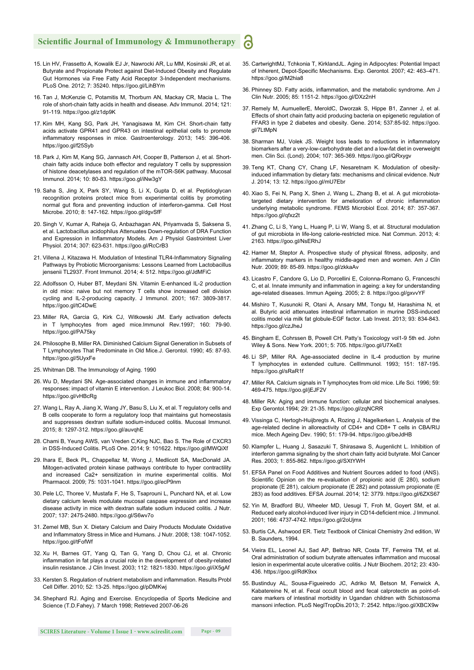- 15. Lin HV, Frassetto A, Kowalik EJ Jr, Nawrocki AR, Lu MM, Kosinski JR, et al. Butyrate and Propionate Protect against Diet-Induced Obesity and Regulate Gut Hormones via Free Fatty Acid Receptor 3-Independent mechanisms. PLoS One*.* 2012; 7: 35240. https://goo.gl/LihBYm
- 16. Tan J, McKenzie C, Potamitis M, Thorburn AN, Mackay CR, Macia L. The role of short-chain fatty acids in health and disease. Adv Immunol. 2014; 121: 91-119. https://goo.gl/z1dp9K
- 17. Kim MH, Kang SG, Park JH, Yanagisawa M, Kim CH. Short-chain fatty acids activate GPR41 and GPR43 on intestinal epithelial cells to promote inflammatory responses in mice. Gastroenterology. 2013; 145: 396-406. https://goo.gl/f25Syb
- 18. Park J, Kim M, Kang SG, Jannasch AH, Cooper B, Patterson J, et al. Shortchain fatty acids induce both effector and regulatory T cells by suppression of histone deacetylases and regulation of the mTOR-S6K pathway. Mucosal Immunol. 2014; 10: 80-83. https://goo.gl/iNw3gY
- 19. Saha S, Jing X, Park SY, Wang S, Li X, Gupta D, et al. Peptidoglycan recognition proteins protect mice from experimental colitis by promoting normal gut flora and preventing induction of interferon-gamma. Cell Host Microbe. 2010; 8: 147-162. https://goo.gl/dgvSfF
- 20. Singh V, Kumar A, Raheja G, Anbazhagan AN, Priyamvada S, Saksena S, et al. Lactobacillus acidophilus Attenuates Down-regulation of DRA Function and Expression in Inflammatory Models. Am J Physiol Gastrointest Liver Physiol. 2014; 307: 623-631. https://goo.gl/RcCrB3
- 21. Villena J, Kitazawa H. Modulation of Intestinal TLR4-Inflammatory Signaling Pathways by Probiotic Microorganisms: Lessons Learned from Lactobacillus jensenii TL2937. Front Immunol. 2014; 4: 512. https://goo.gl/JdMFiC
- 22. Adolfsson O, Huber BT, Meydani SN. Vitamin E-enhanced IL-2 production in old mice: naive but not memory T cells show increased cell division cycling and IL-2-producing capacity. J Immunol. 2001; 167: 3809-3817. https://goo.gl/tC4DwE
- 23. Miller RA, Garcia G, Kirk CJ, Witkowski JM. Early activation defects in T lymphocytes from aged mice.Immunol Rev.1997; 160: 79-90. https://goo.gl/PA75ky
- 24. Philosophe B, Miller RA. Diminished Calcium Signal Generation in Subsets of T Lymphocytes That Predominate in Old Mice*.*J. Gerontol. 1990; 45: 87-93. https://goo.gl/5UyxFe
- 25. Whitman DB. The Immunology of Aging. 1990
- 26. Wu D, Meydani SN. Age-associated changes in immune and inflammatory responses: impact of vitamin E intervention. J Leukoc Biol. 2008; 84: 900-14. https://goo.gl/vHBcRg
- 27. Wang L, Ray A, Jiang X, Wang JY, Basu S, Liu X, et al. T regulatory cells and B cells cooperate to form a regulatory loop that maintains gut homeostasis and suppresses dextran sulfate sodium-induced colitis. Mucosal Immunol. 2015; 8: 1297-312. https://goo.gl/auvqhE
- 28. Chami B, Yeung AWS, van Vreden C,King NJC, Bao S. The Role of CXCR3 in DSS-Induced Colitis. PLoS One. 2014; 9: 101622. https://goo.gl/MWQiXf
- 29. Ihara E, Beck PL, Chappellaz M, Wong J, Medlicott SA, MacDonald JA. Mitogen-activated protein kinase pathways contribute to hyper contractility and increased Ca2+ sensitization in murine experimental colitis. Mol Pharmacol*.* 2009; 75: 1031-1041. https://goo.gl/ecP9nm
- 30. Pele LC, Thoree V, Mustafa F, He S, Tsaprouni L, Punchard NA, et al. Low dietary calcium levels modulate mucosal caspase expression and increase disease activity in mice with dextran sulfate sodium induced colitis. J Nutr. 2007; 137: 2475-2480. https://goo.gl/S6wv7o
- 31. Zemel MB, Sun X. Dietary Calcium and Dairy Products Modulate Oxidative and Inflammatory Stress in Mice and Humans. J Nutr. 2008; 138: 1047-1052. https://goo.gl/tFofWf
- 32. Xu H, Barnes GT, Yang Q, Tan G, Yang D, Chou CJ, et al. Chronic inflammation in fat plays a crucial role in the development of obesity-related insulin resistance. J Clin Invest. 2003; 112: 1821-1830. https://goo.gl/iX5gAf
- 33. Kersten S. Regulation of nutrient metabolism and inflammation. Results Probl Cell Differ. 2010; 52: 13-25. https://goo.gl/pDMKwj
- 34. Shephard RJ. Aging and Exercise. Encyclopedia of Sports Medicine and Science (T.D.Fahey). 7 March 1998; Retrieved 2007-06-26

35. CartwrightMJ, Tchkonia T, KirklandJL. Aging in Adipocytes: Potential Impact of Inherent, Depot-Specific Mechanisms. Exp. Gerontol. 2007; 42: 463-471. https://goo.gl/M2hia8

6

- 36. Phinney SD. Fatty acids, inflammation, and the metabolic syndrome. Am J Clin Nutr. 2005; 85: 1151-2. https://goo.gl/DXz2nH
- 37. Remely M, AumuellerE, MeroldC, Dworzak S, Hippe B1, Zanner J, et al. Effects of short chain fatty acid producing bacteria on epigenetic regulation of FFAR3 in type 2 diabetes and obesity. Gene. 2014; 537:85-92. https://goo. gl/7LtMpN
- 38. Sharman MJ, Volek JS. Weight loss leads to reductions in inflammatory biomarkers after a very-low-carbohydrate diet and a low-fat diet in overweight men. Clin Sci. (Lond). 2004; 107: 365-369. https://goo.gl/QRxygv
- 39. Teng KT, Chang CY, Chang LF, Nesaretnam K. Modulation of obesityinduced inflammation by dietary fats: mechanisms and clinical evidence. Nutr J. 2014; 13: 12. https://goo.gl/mU7Ebr
- 40. Xiao S, Fei N, Pang X, Shen J, Wang L, Zhang B, et al. A gut microbiotatargeted dietary intervention for amelioration of chronic inflammation underlying metabolic syndrome. FEMS Microbiol Ecol. 2014; 87: 357-367. https://goo.gl/qfxz2t
- 41. Zhang C, Li S, Yang L, Huang P, Li W, Wang S, et al. Structural modulation of gut microbiota in life-long calorie-restricted mice. Nat Commun. 2013; 4: 2163. https://goo.gl/NsERhJ
- 42. Hamer M, Steptor A. Prospective study of physical fitness, adiposity, and inflammatory markers in healthy middle-aged men and women. Am J Clin Nutr. 2009; 89: 85-89. https://goo.gl/zkkaAv
- 43. Licastro F, Candore G, Lio D, Porcellini E, Colonna-Romano G, Franceschi C, et al. Innate immunity and inflammation in ageing: a key for understanding age-related diseases. Immun Ageing*.* 2005; 2: 8. https://goo.gl/gxvvYF
- 44. Mishiro T, Kusunoki R, Otani A, Ansary MM, Tongu M, Harashima N, et al. Butyric acid attenuates intestinal inflammation in murine DSS-induced colitis model via milk fat globule-EGF factor. Lab Invest. 2013; 93: 834-843. https://goo.gl/czJheJ
- 45. Bingham E, Cohrssen B, Powell CH. Patty's Toxicology vol1-9 5th ed. John Wiley & Sons. New York. 2001; 5: 705. https://goo.gl/U7XeEt
- 46. Li SP, Miller RA. Age-associated decline in IL-4 production by murine T lymphocytes in extended culture. CellImmunol*.* 1993; 151: 187-195. https://goo.gl/sRaR1f
- 47. Miller RA. Calcium signals in T lymphocytes from old mice. Life Sci*.* 1996; 59: 469-475. https://goo.gl/jEJF2V
- 48. Miller RA: Aging and immune function: cellular and biochemical analyses. Exp Gerontol.1994; 29: 21-35. https://goo.gl/zqNCRR
- 49. Vissinga C, Hertogh-Huijbregts A, Rozing J, Nagelkerken L. Analysis of the age-related decline in alloreactivity of CD4+ and CD8+ T cells in CBA/RIJ mice. Mech Ageing Dev. 1990; 51: 179-94. https://goo.gl/beJdHB
- 50. Klampfer L, Huang J, Sasazuki T, Shirasawa S, Augenlicht L. Inhibition of interferon gamma signaling by the short chain fatty acid butyrate. Mol Cancer Res. 2003; 1: 855-862. https://goo.gl/SXtYWH
- 51. EFSA Panel on Food Additives and Nutrient Sources added to food (ANS). Scientific Opinion on the re-evaluation of propionic acid (E 280), sodium propionate (E 281), calcium propionate (E 282) and potassium propionate (E 283) as food additives. EFSA Journal. 2014; 12: 3779. https://goo.gl/6ZXS67
- 52. Yin M, Bradford BU, Wheeler MD, Uesugi T, Froh M, Goyert SM, et al. Reduced early alcohol-induced liver injury in CD14-deficient mice. J Immunol. 2001; 166: 4737-4742. https://goo.gl/2oUjmx
- 53. Burtis CA, Ashwood ER. Tietz Textbook of Clinical Chemistry 2nd edition, W B. Saunders, 1994.
- 54. Vieira EL, Leonel AJ, Sad AP, Beltrao NR, Costa TF, Ferreira TM, et al. Oral administration of sodium butyrate attenuates inflammation and mucosal lesion in experimental acute ulcerative colitis*.* J Nutr Biochem. 2012; 23: 430- 436. https://goo.gl/RdK9xx
- 55. Bustinduy AL, Sousa-Figueiredo JC, Adriko M, Betson M, Fenwick A, Kabatereine N, et al. Fecal occult blood and fecal calprotectin as point-ofcare markers of intestinal morbidity in Ugandan children with Schistosoma mansoni infection. PLoS NeglTropDis.2013; 7: 2542. https://goo.gl/XBCX9w